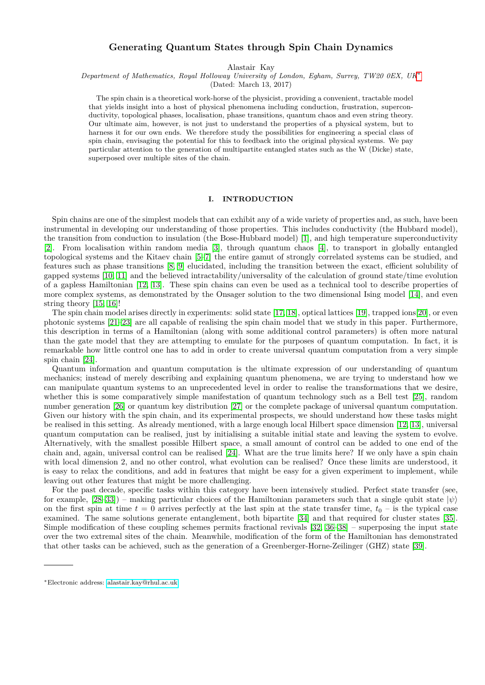# **Generating Quantum States through Spin Chain Dynamics**

Alastair Kay

*Department of Mathematics, Royal Holloway University of London, Egham, Surrey, TW20 0EX, UK*[∗](#page-0-0)

(Dated: March 13, 2017)

The spin chain is a theoretical work-horse of the physicist, providing a convenient, tractable model that yields insight into a host of physical phenomena including conduction, frustration, superconductivity, topological phases, localisation, phase transitions, quantum chaos and even string theory. Our ultimate aim, however, is not just to understand the properties of a physical system, but to harness it for our own ends. We therefore study the possibilities for engineering a special class of spin chain, envisaging the potential for this to feedback into the original physical systems. We pay particular attention to the generation of multipartite entangled states such as the W (Dicke) state, superposed over multiple sites of the chain.

## **I. INTRODUCTION**

Spin chains are one of the simplest models that can exhibit any of a wide variety of properties and, as such, have been instrumental in developing our understanding of those properties. This includes conductivity (the Hubbard model), the transition from conduction to insulation (the Bose-Hubbard model) [\[1\]](#page-11-0), and high temperature superconductivity [\[2\]](#page-11-1). From localisation within random media [\[3\]](#page-11-2), through quantum chaos [\[4\]](#page-11-3), to transport in globally entangled topological systems and the Kitaev chain [\[5–](#page-11-4)[7\]](#page-11-5) the entire gamut of strongly correlated systems can be studied, and features such as phase transitions [\[8,](#page-11-6) [9\]](#page-11-7) elucidated, including the transition between the exact, efficient solubility of gapped systems [\[10,](#page-11-8) [11\]](#page-11-9) and the believed intractability/universality of the calculation of ground state/time evolution of a gapless Hamiltonian [\[12,](#page-11-10) [13\]](#page-11-11). These spin chains can even be used as a technical tool to describe properties of more complex systems, as demonstrated by the Onsager solution to the two dimensional Ising model [\[14\]](#page-11-12), and even string theory [\[15,](#page-11-13) [16\]](#page-11-14)!

The spin chain model arises directly in experiments: solid state [\[17,](#page-11-15) [18\]](#page-11-16), optical lattices [\[19\]](#page-11-17), trapped ions[\[20\]](#page-12-0), or even photonic systems [\[21–](#page-12-1)[23\]](#page-12-2) are all capable of realising the spin chain model that we study in this paper. Furthermore, this description in terms of a Hamiltonian (along with some additional control parameters) is often more natural than the gate model that they are attempting to emulate for the purposes of quantum computation. In fact, it is remarkable how little control one has to add in order to create universal quantum computation from a very simple spin chain [\[24\]](#page-12-3).

Quantum information and quantum computation is the ultimate expression of our understanding of quantum mechanics; instead of merely describing and explaining quantum phenomena, we are trying to understand how we can manipulate quantum systems to an unprecedented level in order to realise the transformations that we desire, whether this is some comparatively simple manifestation of quantum technology such as a Bell test [\[25\]](#page-12-4), random number generation [\[26\]](#page-12-5) or quantum key distribution [\[27\]](#page-12-6) or the complete package of universal quantum computation. Given our history with the spin chain, and its experimental prospects, we should understand how these tasks might be realised in this setting. As already mentioned, with a large enough local Hilbert space dimension [\[12,](#page-11-10) [13\]](#page-11-11), universal quantum computation can be realised, just by initialising a suitable initial state and leaving the system to evolve. Alternatively, with the smallest possible Hilbert space, a small amount of control can be added to one end of the chain and, again, universal control can be realised [\[24\]](#page-12-3). What are the true limits here? If we only have a spin chain with local dimension 2, and no other control, what evolution can be realised? Once these limits are understood, it is easy to relax the conditions, and add in features that might be easy for a given experiment to implement, while leaving out other features that might be more challenging.

For the past decade, specific tasks within this category have been intensively studied. Perfect state transfer (see, for example,  $[28-33]$  $[28-33]$ ) – making particular choices of the Hamiltonian parameters such that a single qubit state  $|\psi\rangle$ on the first spin at time  $t = 0$  arrives perfectly at the last spin at the state transfer time,  $t_0$  – is the typical case examined. The same solutions generate entanglement, both bipartite [\[34\]](#page-12-9) and that required for cluster states [\[35\]](#page-12-10). Simple modification of these coupling schemes permits fractional revivals [\[32,](#page-12-11) [36–](#page-12-12)[38\]](#page-12-13) – superposing the input state over the two extremal sites of the chain. Meanwhile, modification of the form of the Hamiltonian has demonstrated that other tasks can be achieved, such as the generation of a Greenberger-Horne-Zeilinger (GHZ) state [\[39\]](#page-12-14).

<span id="page-0-0"></span><sup>∗</sup>Electronic address: [alastair.kay@rhul.ac.uk](mailto:alastair.kay@rhul.ac.uk)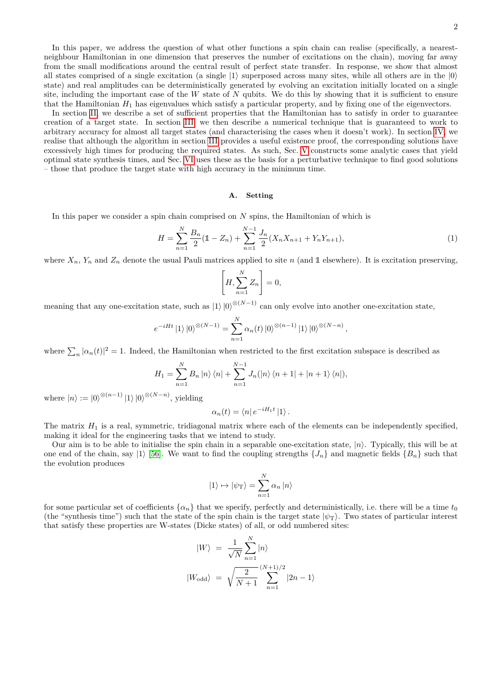In this paper, we address the question of what other functions a spin chain can realise (specifically, a nearestneighbour Hamiltonian in one dimension that preserves the number of excitations on the chain), moving far away from the small modifications around the central result of perfect state transfer. In response, we show that almost all states comprised of a single excitation (a single  $|1\rangle$  superposed across many sites, while all others are in the  $|0\rangle$ state) and real amplitudes can be deterministically generated by evolving an excitation initially located on a single site, including the important case of the *W* state of *N* qubits. We do this by showing that it is sufficient to ensure that the Hamiltonian  $H_1$  has eigenvalues which satisfy a particular property, and by fixing one of the eigenvectors.

In section [II,](#page-2-0) we describe a set of sufficient properties that the Hamiltonian has to satisfy in order to guarantee creation of a target state. In section [III,](#page-3-0) we then describe a numerical technique that is guaranteed to work to arbitrary accuracy for almost all target states (and characterising the cases when it doesn't work). In section [IV,](#page-4-0) we realise that although the algorithm in section [III](#page-3-0) provides a useful existence proof, the corresponding solutions have excessively high times for producing the required states. As such, Sec. [V](#page-6-0) constructs some analytic cases that yield optimal state synthesis times, and Sec. [VI](#page-7-0) uses these as the basis for a perturbative technique to find good solutions – those that produce the target state with high accuracy in the minimum time.

#### **A. Setting**

In this paper we consider a spin chain comprised on *N* spins, the Hamiltonian of which is

<span id="page-1-0"></span>
$$
H = \sum_{n=1}^{N} \frac{B_n}{2} (\mathbb{1} - Z_n) + \sum_{n=1}^{N-1} \frac{J_n}{2} (X_n X_{n+1} + Y_n Y_{n+1}),
$$
\n(1)

where  $X_n$ ,  $Y_n$  and  $Z_n$  denote the usual Pauli matrices applied to site *n* (and 1 elsewhere). It is excitation preserving,

$$
\left[H, \sum_{n=1}^{N} Z_n\right] = 0,
$$

meaning that any one-excitation state, such as  $|1\rangle |0\rangle^{\otimes(N-1)}$  can only evolve into another one-excitation state,

$$
e^{-iHt} |1\rangle |0\rangle^{\otimes (N-1)} = \sum_{n=1}^{N} \alpha_n(t) |0\rangle^{\otimes (n-1)} |1\rangle |0\rangle^{\otimes (N-n)},
$$

where  $\sum_{n} |\alpha_n(t)|^2 = 1$ . Indeed, the Hamiltonian when restricted to the first excitation subspace is described as

$$
H_1 = \sum_{n=1}^{N} B_n |n\rangle \langle n| + \sum_{n=1}^{N-1} J_n(|n\rangle \langle n+1| + |n+1\rangle \langle n|),
$$

where  $|n\rangle := |0\rangle^{\otimes (n-1)} |1\rangle |0\rangle^{\otimes (N-n)}$ , yielding

$$
\alpha_n(t) = \langle n | e^{-iH_1t} | 1 \rangle.
$$

The matrix  $H_1$  is a real, symmetric, tridiagonal matrix where each of the elements can be independently specified, making it ideal for the engineering tasks that we intend to study.

Our aim is to be able to initialise the spin chain in a separable one-excitation state,  $|n\rangle$ . Typically, this will be at one end of the chain, say |1} [\[56\]](#page-12-15). We want to find the coupling strengths  $\{J_n\}$  and magnetic fields  $\{B_n\}$  such that the evolution produces

$$
|1\rangle \mapsto |\psi_{\mathrm{T}}\rangle = \sum_{n=1}^{N} \alpha_n |n\rangle
$$

for some particular set of coefficients  $\{\alpha_n\}$  that we specify, perfectly and deterministically, i.e. there will be a time  $t_0$ (the "synthesis time") such that the state of the spin chain is the target state  $|\psi_{\rm T}\rangle$ . Two states of particular interest that satisfy these properties are W-states (Dicke states) of all, or odd numbered sites:

$$
|W\rangle = \frac{1}{\sqrt{N}} \sum_{n=1}^{N} |n\rangle
$$
  

$$
|W_{\text{odd}}\rangle = \sqrt{\frac{2}{N+1}} \sum_{n=1}^{(N+1)/2} |2n-1\rangle
$$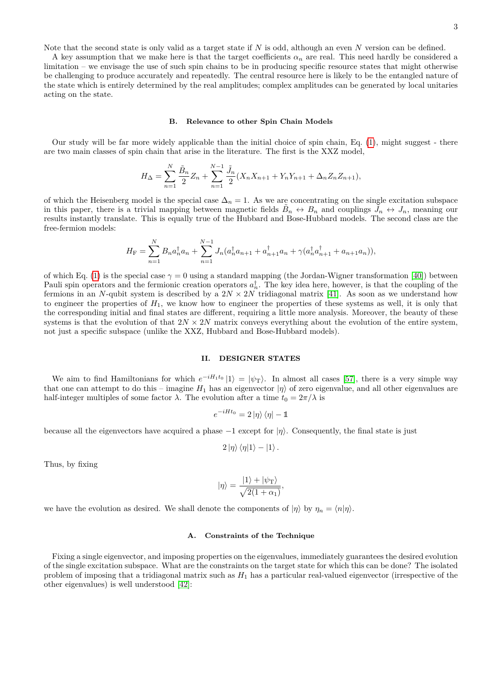Note that the second state is only valid as a target state if *N* is odd, although an even *N* version can be defined.

A key assumption that we make here is that the target coefficients  $\alpha_n$  are real. This need hardly be considered a limitation – we envisage the use of such spin chains to be in producing specific resource states that might otherwise be challenging to produce accurately and repeatedly. The central resource here is likely to be the entangled nature of the state which is entirely determined by the real amplitudes; complex amplitudes can be generated by local unitaries acting on the state.

### <span id="page-2-1"></span>**B. Relevance to other Spin Chain Models**

Our study will be far more widely applicable than the initial choice of spin chain, Eq. [\(1\)](#page-1-0), might suggest - there are two main classes of spin chain that arise in the literature. The first is the XXZ model,

$$
H_{\Delta} = \sum_{n=1}^{N} \frac{\tilde{B}_n}{2} Z_n + \sum_{n=1}^{N-1} \frac{\tilde{J}_n}{2} (X_n X_{n+1} + Y_n Y_{n+1} + \Delta_n Z_n Z_{n+1}),
$$

of which the Heisenberg model is the special case  $\Delta_n = 1$ . As we are concentrating on the single excitation subspace in this paper, there is a trivial mapping between magnetic fields  $\tilde{B}_n \leftrightarrow B_n$  and couplings  $\tilde{J}_n \leftrightarrow J_n$ , meaning our results instantly translate. This is equally true of the Hubbard and Bose-Hubbard models. The second class are the free-fermion models:

$$
H_{\mathcal{F}} = \sum_{n=1}^{N} B_n a_n^{\dagger} a_n + \sum_{n=1}^{N-1} J_n(a_n^{\dagger} a_{n+1} + a_{n+1}^{\dagger} a_n + \gamma (a_n^{\dagger} a_{n+1}^{\dagger} + a_{n+1} a_n)),
$$

of which Eq. [\(1\)](#page-1-0) is the special case  $\gamma = 0$  using a standard mapping (the Jordan-Wigner transformation [\[40\]](#page-12-16)) between Pauli spin operators and the fermionic creation operators  $a_n^{\dagger}$ . The key idea here, however, is that the coupling of the fermions in an *N*-qubit system is described by a  $2N \times 2N$  tridiagonal matrix [\[41\]](#page-12-17). As soon as we understand how to engineer the properties of  $H_1$ , we know how to engineer the properties of these systems as well, it is only that the corresponding initial and final states are different, requiring a little more analysis. Moreover, the beauty of these systems is that the evolution of that  $2N \times 2N$  matrix conveys everything about the evolution of the entire system, not just a specific subspace (unlike the XXZ, Hubbard and Bose-Hubbard models).

### <span id="page-2-0"></span>**II. DESIGNER STATES**

We aim to find Hamiltonians for which  $e^{-iH_1t_0}$  |1 $\rangle = |\psi_T\rangle$ . In almost all cases [\[57\]](#page-12-18), there is a very simple way that one can attempt to do this – imagine  $H_1$  has an eigenvector  $|\eta\rangle$  of zero eigenvalue, and all other eigenvalues are half-integer multiples of some factor  $\lambda$ . The evolution after a time  $t_0 = 2\pi/\lambda$  is

$$
e^{-iHt_0} = 2\left|\eta\right\rangle\left\langle\eta\right| - \mathbb{1}
$$

because all the eigenvectors have acquired a phase −1 except for |*η*i. Consequently, the final state is just

$$
2\ket{\eta}\bra{\eta}1\rangle - |1\rangle.
$$

Thus, by fixing

$$
|\eta\rangle = \frac{|1\rangle + |\psi_{\rm T}\rangle}{\sqrt{2(1+\alpha_1)}},
$$

we have the evolution as desired. We shall denote the components of  $|\eta\rangle$  by  $\eta_n = \langle n|\eta\rangle$ .

#### **A. Constraints of the Technique**

Fixing a single eigenvector, and imposing properties on the eigenvalues, immediately guarantees the desired evolution of the single excitation subspace. What are the constraints on the target state for which this can be done? The isolated problem of imposing that a tridiagonal matrix such as *H*<sup>1</sup> has a particular real-valued eigenvector (irrespective of the other eigenvalues) is well understood [\[42\]](#page-12-19):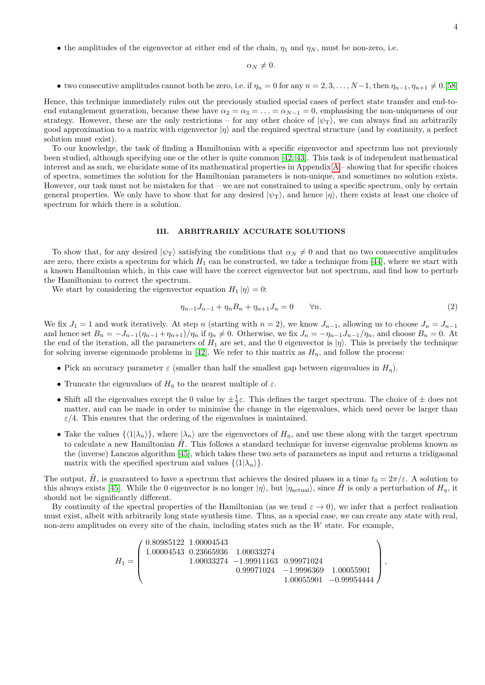• the amplitudes of the eigenvector at either end of the chain,  $\eta_1$  and  $\eta_N$ , must be non-zero, i.e.

$$
\alpha_N\neq 0.
$$

• two consecutive amplitudes cannot both be zero, i.e. if  $\eta_n = 0$  for any  $n = 2, 3, \ldots, N-1$ , then  $\eta_{n-1}, \eta_{n+1} \neq 0.58$ 

Hence, this technique immediately rules out the previously studied special cases of perfect state transfer and end-toend entanglement generation, because these have  $\alpha_2 = \alpha_3 = \ldots = \alpha_{N-1} = 0$ , emphasising the non-uniqueness of our strategy. However, these are the only restrictions – for any other choice of  $|\psi_T\rangle$ , we can always find an arbitrarily good approximation to a matrix with eigenvector |*η*i and the required spectral structure (and by continuity, a perfect solution must exist).

To our knowledge, the task of finding a Hamiltonian with a specific eigenvector and spectrum has not previously been studied, although specifying one or the other is quite common [\[42,](#page-12-19) [43\]](#page-12-21). This task is of independent mathematical interest and as such, we elucidate some of its mathematical properties in [A](#page-13-0)ppendix  $A -$ showing that for specific choices of spectra, sometimes the solution for the Hamiltonian parameters is non-unique, and sometimes no solution exists. However, our task must not be mistaken for that – we are not constrained to using a specific spectrum, only by certain general properties. We only have to show that for any desired  $|\psi_{\rm T}\rangle$ , and hence  $|\eta\rangle$ , there exists at least one choice of spectrum for which there is a solution.

## <span id="page-3-0"></span>**III. ARBITRARILY ACCURATE SOLUTIONS**

To show that, for any desired  $|\psi_{\text{T}}\rangle$  satisfying the conditions that  $\alpha_N \neq 0$  and that no two consecutive amplitudes are zero, there exists a spectrum for which  $H_1$  can be constructed, we take a technique from [\[44\]](#page-12-22), where we start with a known Hamiltonian which, in this case will have the correct eigenvector but not spectrum, and find how to perturb the Hamiltonian to correct the spectrum.

We start by considering the eigenvector equation  $H_1 |\eta\rangle = 0$ :

<span id="page-3-1"></span>
$$
\eta_{n-1}J_{n-1} + \eta_n B_n + \eta_{n+1} J_n = 0 \qquad \forall n. \tag{2}
$$

We fix  $J_1 = 1$  and work iteratively. At step *n* (starting with  $n = 2$ ), we know  $J_{n-1}$ , allowing us to choose  $J_n = J_{n-1}$ and hence set  $B_n = -J_{n-1}(\eta_{n-1} + \eta_{n+1})/\eta_n$  if  $\eta_n \neq 0$ . Otherwise, we fix  $J_n = -\eta_{n-1}J_{n-1}/\eta_n$ , and choose  $B_n = 0$ . At the end of the iteration, all the parameters of  $H_1$  are set, and the 0 eigenvector is  $|\eta\rangle$ . This is precisely the technique for solving inverse eigenmode problems in [\[42\]](#page-12-19). We refer to this matrix as  $H<sub>n</sub>$ , and follow the process:

- Pick an accuracy parameter  $\varepsilon$  (smaller than half the smallest gap between eigenvalues in  $H_{\eta}$ ).
- Truncate the eigenvalues of  $H<sub>\eta</sub>$  to the nearest multiple of  $\varepsilon$ .
- Shift all the eigenvalues except the 0 value by  $\pm \frac{1}{2} \varepsilon$ . This defines the target spectrum. The choice of  $\pm$  does not matter, and can be made in order to minimise the change in the eigenvalues, which need never be larger than  $\varepsilon/4$ . This ensures that the ordering of the eigenvalues is maintained.
- Take the values  $\{\langle 1|\lambda_n\rangle\}$ , where  $|\lambda_n\rangle$  are the eigenvectors of  $H_n$ , and use these along with the target spectrum to calculate a new Hamiltonian *H*. This follows a standard technique for inverse eigenvalue problems known as the (inverse) Lanczos algorithm [\[45\]](#page-12-23), which takes these two sets of parameters as input and returns a tridigaonal matrix with the specified spectrum and values  $\{\langle 1|\lambda_n\rangle\}.$

The output,  $\tilde{H}$ , is guaranteed to have a spectrum that achieves the desired phases in a time  $t_0 = 2\pi/\varepsilon$ . A solution to this always exists [\[45\]](#page-12-23). While the 0 eigenvector is no longer  $|\eta\rangle$ , but  $|\eta_{\text{actual}}\rangle$ , since *H* is only a perturbation of  $H_n$ , it should not be significantly different.

By continuity of the spectral properties of the Hamiltonian (as we tend  $\varepsilon \to 0$ ), we infer that a perfect realisation must exist, albeit with arbitrarily long state synthesis time. Thus, as a special case, we can create any state with real, non-zero amplitudes on every site of the chain, including states such as the *W* state. For example,

$$
H_1=\left(\begin{array}{ccc} 0.80985122& 1.00004543\\ 1.00004543& 0.23665936& 1.00033274\\ 1.00033274& -1.99911163& 0.99971024\\ 0.99971024& -1.9996369& 1.00055901\\ 1.00055901& -0.99954444 \end{array}\right),
$$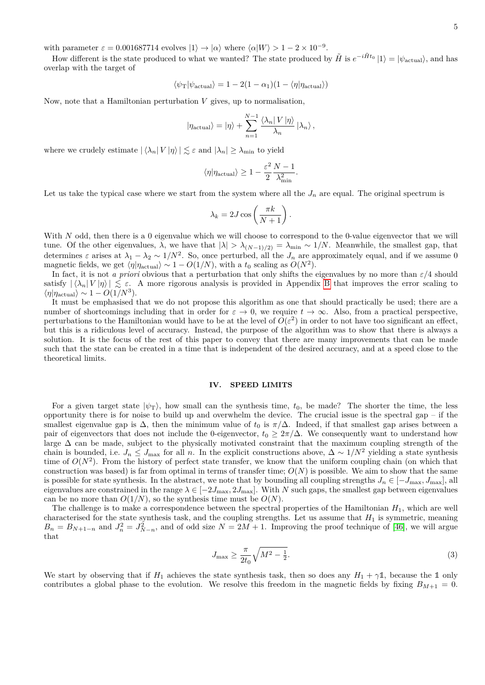with parameter  $\varepsilon = 0.001687714$  evolves  $|1\rangle \rightarrow |\alpha\rangle$  where  $\langle \alpha | W \rangle > 1 - 2 \times 10^{-9}$ .

How different is the state produced to what we wanted? The state produced by  $\tilde{H}$  is  $e^{-i\tilde{H}t_0} |1\rangle = |\psi_{\text{actual}}\rangle$ , and has overlap with the target of

$$
\langle \psi_{\rm T} | \psi_{\rm actual} \rangle = 1 - 2(1 - \alpha_1)(1 - \langle \eta | \eta_{\rm actual} \rangle)
$$

Now, note that a Hamiltonian perturbation *V* gives, up to normalisation,

$$
|\eta_{\text{actual}}\rangle = |\eta\rangle + \sum_{n=1}^{N-1} \frac{\langle \lambda_n | V | \eta \rangle}{\lambda_n} |\lambda_n\rangle ,
$$

where we crudely estimate  $|\langle \lambda_n | V | \eta \rangle| \lesssim \varepsilon$  and  $|\lambda_n| \geq \lambda_{\min}$  to yield

$$
\langle \eta | \eta_{\rm actual} \rangle \geq 1 - \frac{\varepsilon^2}{2} \frac{N-1}{\lambda_{\rm min}^2}.
$$

Let us take the typical case where we start from the system where all the  $J_n$  are equal. The original spectrum is

$$
\lambda_k = 2J \cos\left(\frac{\pi k}{N+1}\right).
$$

With *N* odd, then there is a 0 eigenvalue which we will choose to correspond to the 0-value eigenvector that we will tune. Of the other eigenvalues,  $\lambda$ , we have that  $|\lambda| > \lambda_{(N-1)/2} = \lambda_{\min} \sim 1/N$ . Meanwhile, the smallest gap, that determines  $\varepsilon$  arises at  $\lambda_1 - \lambda_2 \sim 1/N^2$ . So, once perturbed, all the  $J_n$  are approximately equal, and if we assume 0 magnetic fields, we get  $\langle \eta | \eta_{\text{actual}} \rangle \sim 1 - O(1/N)$ , with a  $t_0$  scaling as  $O(N^2)$ .

In fact, it is not *a priori* obvious that a perturbation that only shifts the eigenvalues by no more than  $\varepsilon/4$  should satisfy  $|\langle \lambda_n | V | \eta \rangle| \leq \varepsilon$ . A more rigorous analysis is provided in Appendix [B](#page-14-0) that improves the error scaling to  $\langle \eta | \eta_{\text{actual}} \rangle \sim 1 - O(1/N^3).$ 

It must be emphasised that we do not propose this algorithm as one that should practically be used; there are a number of shortcomings including that in order for  $\varepsilon \to 0$ , we require  $t \to \infty$ . Also, from a practical perspective, perturbations to the Hamiltonian would have to be at the level of  $O(\varepsilon^2)$  in order to not have too significant an effect, but this is a ridiculous level of accuracy. Instead, the purpose of the algorithm was to show that there is always a solution. It is the focus of the rest of this paper to convey that there are many improvements that can be made such that the state can be created in a time that is independent of the desired accuracy, and at a speed close to the theoretical limits.

#### <span id="page-4-0"></span>**IV. SPEED LIMITS**

For a given target state  $|\psi_{\text{T}}\rangle$ , how small can the synthesis time,  $t_0$ , be made? The shorter the time, the less opportunity there is for noise to build up and overwhelm the device. The crucial issue is the spectral gap – if the smallest eigenvalue gap is  $\Delta$ , then the minimum value of  $t_0$  is  $\pi/\Delta$ . Indeed, if that smallest gap arises between a pair of eigenvectors that does not include the 0-eigenvector,  $t_0 \geq 2\pi/\Delta$ . We consequently want to understand how large ∆ can be made, subject to the physically motivated constraint that the maximum coupling strength of the chain is bounded, i.e.  $J_n \leq J_{\text{max}}$  for all *n*. In the explicit constructions above,  $\Delta \sim 1/N^2$  yielding a state synthesis time of  $O(N^2)$ . From the history of perfect state transfer, we know that the uniform coupling chain (on which that construction was based) is far from optimal in terms of transfer time;  $O(N)$  is possible. We aim to show that the same is possible for state synthesis. In the abstract, we note that by bounding all coupling strengths  $J_n \in [-J_{\max}, J_{\max}]$ , all eigenvalues are constrained in the range  $\lambda \in [-2J_{\text{max}}, 2J_{\text{max}}]$ . With *N* such gaps, the smallest gap between eigenvalues can be no more than  $O(1/N)$ , so the synthesis time must be  $O(N)$ .

The challenge is to make a correspondence between the spectral properties of the Hamiltonian *H*1, which are well characterised for the state synthesis task, and the coupling strengths. Let us assume that  $H_1$  is symmetric, meaning  $B_n = B_{N+1-n}$  and  $J_n^2 = J_{N-n}^2$ , and of odd size  $N = 2M + 1$ . Improving the proof technique of [\[46\]](#page-12-24), we will argue that

$$
J_{\max} \ge \frac{\pi}{2t_0} \sqrt{M^2 - \frac{1}{2}}.\tag{3}
$$

We start by observing that if  $H_1$  achieves the state synthesis task, then so does any  $H_1 + \gamma \mathbb{1}$ , because the 1 only contributes a global phase to the evolution. We resolve this freedom in the magnetic fields by fixing  $B_{M+1} = 0$ .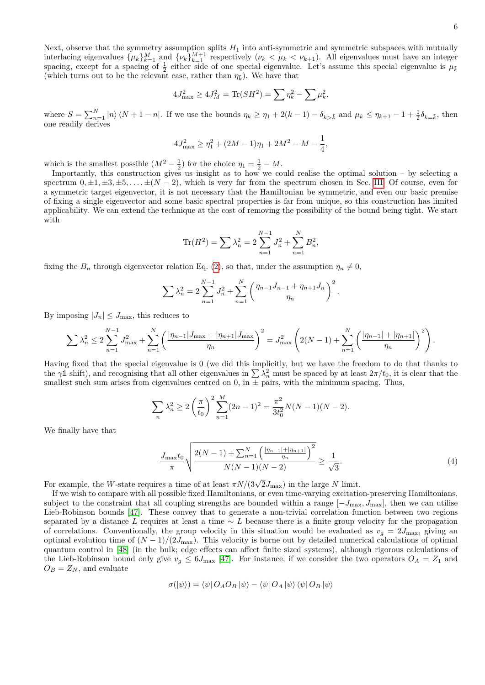Next, observe that the symmetry assumption splits *H*<sup>1</sup> into anti-symmetric and symmetric subspaces with mutually interlacing eigenvalues  $\{\mu_k\}_{k=1}^M$  and  $\{\nu_k\}_{k=1}^{M+1}$  respectively  $(\nu_k < \mu_k < \nu_{k+1})$ . All eigenvalues must have an integer spacing, except for a spacing of  $\frac{1}{2}$  either side of one special eigenvalue. Let's assume this special eigenvalue is  $\mu_{\tilde{k}}$ (which turns out to be the relevant case, rather than  $\eta_{\tilde{k}}$ ). We have that

$$
4J_{\max}^2 \ge 4J_M^2 = \text{Tr}(SH^2) = \sum \eta_k^2 - \sum \mu_k^2,
$$

where  $S = \sum_{n=1}^{N} |n\rangle\langle N+1-n|$ . If we use the bounds  $\eta_k \geq \eta_1 + 2(k-1) - \delta_{k\geq \tilde{k}}$  and  $\mu_k \leq \eta_{k+1} - 1 + \frac{1}{2}\delta_{k=\tilde{k}}$ , then one readily derives

$$
4J_{\max}^2 \ge \eta_1^2 + (2M - 1)\eta_1 + 2M^2 - M - \frac{1}{4},
$$

which is the smallest possible  $(M^2 - \frac{1}{2})$  for the choice  $\eta_1 = \frac{1}{2} - M$ .

Importantly, this construction gives us insight as to how we could realise the optimal solution – by selecting a spectrum  $0, \pm 1, \pm 3, \pm 5, \ldots, \pm (N-2)$ , which is very far from the spectrum chosen in Sec. [III.](#page-3-0) Of course, even for a symmetric target eigenvector, it is not necessary that the Hamiltonian be symmetric, and even our basic premise of fixing a single eigenvector and some basic spectral properties is far from unique, so this construction has limited applicability. We can extend the technique at the cost of removing the possibility of the bound being tight. We start with

$$
\text{Tr}(H^2) = \sum \lambda_n^2 = 2 \sum_{n=1}^{N-1} J_n^2 + \sum_{n=1}^{N} B_n^2,
$$

fixing the  $B_n$  through eigenvector relation Eq. [\(2\)](#page-3-1), so that, under the assumption  $\eta_n \neq 0$ ,

$$
\sum \lambda_n^2 = 2 \sum_{n=1}^{N-1} J_n^2 + \sum_{n=1}^N \left( \frac{\eta_{n-1} J_{n-1} + \eta_{n+1} J_n}{\eta_n} \right)^2.
$$

By imposing  $|J_n| \leq J_{\text{max}}$ , this reduces to

$$
\sum \lambda_n^2 \le 2 \sum_{n=1}^{N-1} J_{\max}^2 + \sum_{n=1}^N \left( \frac{|\eta_{n-1}| J_{\max} + |\eta_{n+1}| J_{\max}}{\eta_n} \right)^2 = J_{\max}^2 \left( 2(N-1) + \sum_{n=1}^N \left( \frac{|\eta_{n-1}| + |\eta_{n+1}|}{\eta_n} \right)^2 \right).
$$

Having fixed that the special eigenvalue is 0 (we did this implicitly, but we have the freedom to do that thanks to the  $\gamma$ <sup>1</sup> shift), and recognising that all other eigenvalues in  $\sum \lambda_n^2$  must be spaced by at least  $2\pi/t_0$ , it is clear that the smallest such sum arises from eigenvalues centred on 0, in  $\pm$  pairs, with the minimum spacing. Thus,

$$
\sum_{n} \lambda_n^2 \ge 2 \left( \frac{\pi}{t_0} \right)^2 \sum_{n=1}^{M} (2n-1)^2 = \frac{\pi^2}{3t_0^2} N(N-1)(N-2).
$$

We finally have that

<span id="page-5-0"></span>
$$
\frac{J_{\max}t_0}{\pi} \sqrt{\frac{2(N-1) + \sum_{n=1}^{N} \left(\frac{|\eta_{n-1}| + |\eta_{n+1}|}{\eta_n}\right)^2}{N(N-1)(N-2)}} \ge \frac{1}{\sqrt{3}}.
$$
\n(4)

For example, the *W*-state requires a time of at least  $\pi N/(3\sqrt{2}J_{\text{max}})$  in the large *N* limit.

If we wish to compare with all possible fixed Hamiltonians, or even time-varying excitation-preserving Hamiltonians, subject to the constraint that all coupling strengths are bounded within a range  $[-J_{\text{max}}, J_{\text{max}}]$ , then we can utilise Lieb-Robinson bounds [\[47\]](#page-12-25). These convey that to generate a non-trivial correlation function between two regions separated by a distance *L* requires at least a time ∼ *L* because there is a finite group velocity for the propagation of correlations. Conventionally, the group velocity in this situation would be evaluated as  $v_g = 2J_{\text{max}}$ , giving an optimal evolution time of  $(N-1)/(2J_{\text{max}})$ . This velocity is borne out by detailed numerical calculations of optimal quantum control in [\[48\]](#page-12-26) (in the bulk; edge effects can affect finite sized systems), although rigorous calculations of the Lieb-Robinson bound only give  $v_g \leq 6J_{\text{max}}$  [\[47\]](#page-12-25). For instance, if we consider the two operators  $O_A = Z_1$  and  $O_B = Z_N$ , and evaluate

$$
\sigma(\left|\psi\right\rangle) = \left\langle \psi \right| O_A O_B \left|\psi\right\rangle - \left\langle \psi \right| O_A \left|\psi\right\rangle \left\langle \psi \right| O_B \left|\psi\right\rangle
$$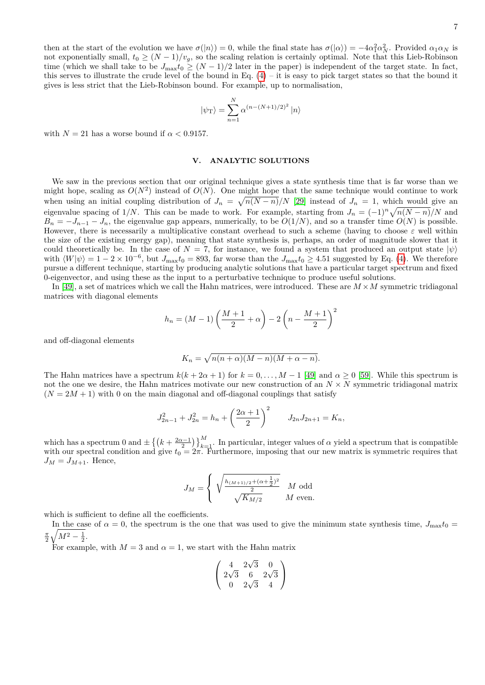then at the start of the evolution we have  $\sigma(|n\rangle) = 0$ , while the final state has  $\sigma(|\alpha\rangle) = -4\alpha_1^2 \alpha_N^2$ . Provided  $\alpha_1 \alpha_N$  is not exponentially small,  $t_0 \ge (N-1)/v_g$ , so the scaling relation is certainly optimal. Note that this Lieb-Robinson time (which we shall take to be  $J_{\text{max}}t_0 \geq (N-1)/2$  later in the paper) is independent of the target state. In fact, this serves to illustrate the crude level of the bound in Eq.  $(4)$  – it is easy to pick target states so that the bound it gives is less strict that the Lieb-Robinson bound. For example, up to normalisation,

$$
|\psi_{\rm T}\rangle = \sum_{n=1}^{N} \alpha^{(n-(N+1)/2)^2} |n\rangle
$$

with  $N = 21$  has a worse bound if  $\alpha < 0.9157$ .

#### <span id="page-6-0"></span>**V. ANALYTIC SOLUTIONS**

We saw in the previous section that our original technique gives a state synthesis time that is far worse than we might hope, scaling as  $O(N^2)$  instead of  $O(N)$ . One might hope that the same technique would continue to work when using an initial coupling distribution of  $J_n = \sqrt{n(N-n)}/N$  [\[29\]](#page-12-27) instead of  $J_n = 1$ , which would give an eigenvalue spacing of 1/N. This can be made to work. For example, starting from  $J_n = (-1)^n \sqrt{n(N-n)}/N$  and  $B_n = -J_{n-1} - J_n$ , the eigenvalue gap appears, numerically, to be  $O(1/N)$ , and so a transfer time  $O(N)$  is possible. However, there is necessarily a multiplicative constant overhead to such a scheme (having to choose  $\varepsilon$  well within the size of the existing energy gap), meaning that state synthesis is, perhaps, an order of magnitude slower that it could theoretically be. In the case of  $N = 7$ , for instance, we found a system that produced an output state  $|\psi\rangle$ with  $\langle W|\psi\rangle = 1 - 2 \times 10^{-6}$ , but  $J_{\text{max}}t_0 = 893$ , far worse than the  $J_{\text{max}}t_0 \ge 4.51$  suggested by Eq. [\(4\)](#page-5-0). We therefore pursue a different technique, starting by producing analytic solutions that have a particular target spectrum and fixed 0-eigenvector, and using these as the input to a perturbative technique to produce useful solutions.

In [\[49\]](#page-12-28), a set of matrices which we call the Hahn matrices, were introduced. These are  $M \times M$  symmetric tridiagonal matrices with diagonal elements

$$
h_n = (M - 1) \left( \frac{M+1}{2} + \alpha \right) - 2 \left( n - \frac{M+1}{2} \right)^2
$$

and off-diagonal elements

$$
K_n = \sqrt{n(n+\alpha)(M-n)(M+\alpha-n)}.
$$

The Hahn matrices have a spectrum  $k(k+2\alpha+1)$  for  $k=0,\ldots,M-1$  [\[49\]](#page-12-28) and  $\alpha\geq 0$  [\[59\]](#page-12-29). While this spectrum is not the one we desire, the Hahn matrices motivate our new construction of an  $N \times N$  symmetric tridiagonal matrix  $(N = 2M + 1)$  with 0 on the main diagonal and off-diagonal couplings that satisfy

$$
J_{2n-1}^2 + J_{2n}^2 = h_n + \left(\frac{2\alpha + 1}{2}\right)^2 \qquad J_{2n}J_{2n+1} = K_n,
$$

which has a spectrum 0 and  $\pm \left\{ \left(k + \frac{2\alpha - 1}{2}\right)\right\}_{k=1}^{M}$ . In particular, integer values of  $\alpha$  yield a spectrum that is compatible with our spectral condition and give  $t_0 = 2\pi$ . Furthermore, imposing that our new matrix is symmetric requires that  $J_M = J_{M+1}$ . Hence,

$$
J_M = \left\{ \begin{array}{cc} \sqrt{\frac{h_{(M+1)/2} + (\alpha + \frac{1}{2})^2}{2}} & M \text{ odd} \\ \sqrt{K_{M/2}} & M \text{ even.} \end{array} \right.
$$

which is sufficient to define all the coefficients.

In the case of  $\alpha = 0$ , the spectrum is the one that was used to give the minimum state synthesis time,  $J_{\text{max}}t_0$  $\frac{\pi}{2}\sqrt{M^2-\frac{1}{2}}.$ 

For example, with  $M = 3$  and  $\alpha = 1$ , we start with the Hahn matrix

$$
\left(\begin{array}{ccc} 4 & 2\sqrt{3} & 0 \\ 2\sqrt{3} & 6 & 2\sqrt{3} \\ 0 & 2\sqrt{3} & 4 \end{array}\right)
$$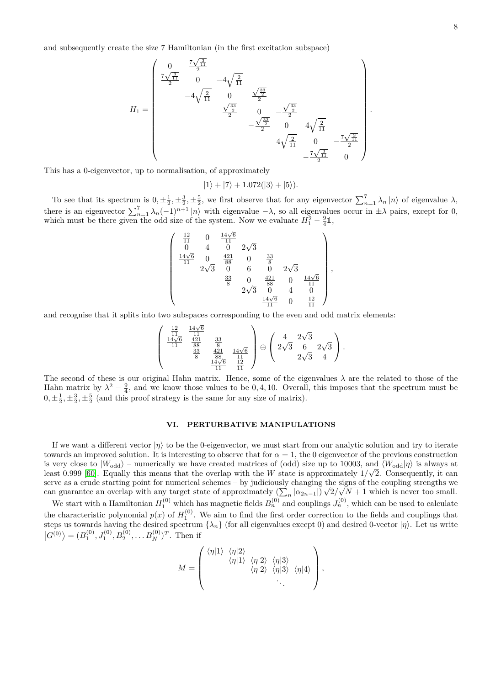and subsequently create the size 7 Hamiltonian (in the first excitation subspace)

$$
H_1=\begin{pmatrix}0&\frac{7\sqrt{\frac{3}{11}}}{2}\\ \frac{7\sqrt{\frac{3}{11}}}{2}&0&-4\sqrt{\frac{2}{11}}\\&-4\sqrt{\frac{2}{11}}&0&\frac{\sqrt{\frac{33}{2}}}{2}\\&\frac{\sqrt{\frac{33}{2}}}{2}&0&-\frac{\sqrt{\frac{33}{2}}}{2}\\& &-\frac{\sqrt{\frac{33}{2}}}{2}&0&4\sqrt{\frac{2}{11}}\\&&&4\sqrt{\frac{2}{11}}&0&-\frac{7\sqrt{\frac{3}{11}}}{2}\\& & &-\frac{7\sqrt{\frac{3}{11}}}{2}&0\end{pmatrix}.
$$

This has a 0-eigenvector, up to normalisation, of approximately

$$
|1\rangle + |7\rangle + 1.072(|3\rangle + |5\rangle).
$$

To see that its spectrum is  $0, \pm \frac{1}{2}, \pm \frac{3}{2}, \pm \frac{5}{2}$ , we first observe that for any eigenvector  $\sum_{n=1}^{7} \lambda_n |n\rangle$  of eigenvalue  $\lambda$ , there is an eigenvector  $\sum_{n=1}^{7} \lambda_n (-1)^{n+1} |n\rangle$  with eigenvalue  $-\lambda$ , so all eigenvalues occur in  $\pm \lambda$  pairs, except for 0, which must be there given the odd size of the system. Now we evaluate  $H_1^2 - \frac{9}{4}\mathbb{1}$ ,

$$
\left(\begin{array}{ccccc}\n\frac{12}{11} & 0 & \frac{14\sqrt{6}}{11} & & & & \\
0 & 4 & 0 & 2\sqrt{3} & & & & \\
\frac{14\sqrt{6}}{11} & 0 & \frac{421}{88} & 0 & \frac{33}{8} & & & \\
2\sqrt{3} & 0 & 6 & 0 & 2\sqrt{3} & & \\
& & \frac{33}{8} & 0 & \frac{421}{88} & 0 & \frac{14\sqrt{6}}{11} & \\
& & & & \frac{14\sqrt{6}}{11} & 0 & \frac{12}{11}\n\end{array}\right),
$$

and recognise that it splits into two subspaces corresponding to the even and odd matrix elements:

$$
\left(\begin{array}{cc} \frac{12}{11} & \frac{14\sqrt{6}}{11} \\ \frac{14\sqrt{6}}{11} & \frac{421}{88} & \frac{33}{8} \\ & \frac{33}{8} & \frac{421}{88} \\ & & \frac{14\sqrt{6}}{11} \\ & & & \frac{14\sqrt{6}}{11} \\ \end{array}\right)\oplus \left(\begin{array}{cc} 4 & 2\sqrt{3} \\ 2\sqrt{3} & 6 & 2\sqrt{3} \\ & 2\sqrt{3} & 4 \\ \end{array}\right).
$$

The second of these is our original Hahn matrix. Hence, some of the eigenvalues *λ* are the related to those of the Hahn matrix by  $\lambda^2 - \frac{9}{4}$ , and we know those values to be 0, 4, 10. Overall, this imposes that the spectrum must be  $0, \pm \frac{1}{2}, \pm \frac{3}{2}, \pm \frac{5}{2}$  (and this proof strategy is the same for any size of matrix).

## <span id="page-7-0"></span>**VI. PERTURBATIVE MANIPULATIONS**

If we want a different vector  $|\eta\rangle$  to be the 0-eigenvector, we must start from our analytic solution and try to iterate towards an improved solution. It is interesting to observe that for  $\alpha = 1$ , the 0 eigenvector of the previous construction is very close to  $|W_{\text{odd}}\rangle$  – numerically we have created matrices of (odd) size up to 10003, and  $\langle W_{\text{odd}}|\eta\rangle$  is always at least 0.999 [\[60\]](#page-12-30). Equally this means that the overlap with the *W* state is approximately  $1/\sqrt{2}$ . Consequently, it can serve as a crude starting point for numerical schemes – by judiciously changing the signs of the coupling strengths we can guarantee an overlap with any target state of approximately  $(\sum_{n} |\alpha_{2n-1}|)$ √ 2*/* √  $N+1$  which is never too small.

We start with a Hamiltonian  $H_1^{(0)}$  which has magnetic fields  $B_n^{(0)}$  and couplings  $J_n^{(0)}$ , which can be used to calculate the characteristic polynomial  $p(x)$  of  $H_1^{(0)}$ . We aim to find the first order correction to the fields and couplings that steps us towards having the desired spectrum  $\{\lambda_n\}$  (for all eigenvalues except 0) and desired 0-vector  $|\eta\rangle$ . Let us write  $|G^{(0)}\rangle = (B_1^{(0)}, J_1^{(0)}, B_2^{(0)}, \dots B_N^{(0)})^T$ . Then if

$$
M = \left(\begin{array}{ccc} \langle \eta | 1 \rangle & \langle \eta | 2 \rangle & \langle \eta | 2 \rangle & \langle \eta | 3 \rangle \\ & \langle \eta | 1 \rangle & \langle \eta | 2 \rangle & \langle \eta | 3 \rangle & \langle \eta | 4 \rangle \\ & & \ddots & \ddots \end{array}\right),
$$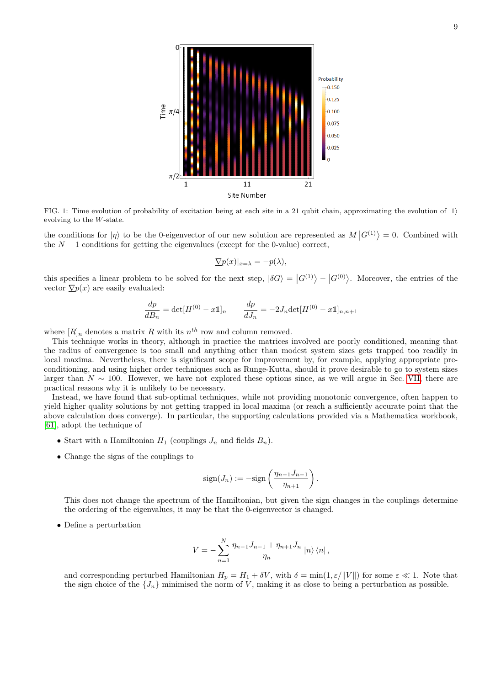

<span id="page-8-0"></span>FIG. 1: Time evolution of probability of excitation being at each site in a 21 qubit chain, approximating the evolution of  $|1\rangle$ evolving to the *W*-state.

the conditions for  $|\eta\rangle$  to be the 0-eigenvector of our new solution are represented as  $M |G^{(1)}\rangle = 0$ . Combined with the  $N-1$  conditions for getting the eigenvalues (except for the 0-value) correct,

$$
\Sigma p(x)|_{x=\lambda} = -p(\lambda),
$$

this specifies a linear problem to be solved for the next step,  $|\delta G\rangle = |G^{(1)}\rangle - |G^{(0)}\rangle$ . Moreover, the entries of the vector  $\nabla p(x)$  are easily evaluated:

$$
\frac{dp}{dB_n} = \det[H^{(0)} - x\mathbb{1}]_n \qquad \frac{dp}{dJ_n} = -2J_n \det[H^{(0)} - x\mathbb{1}]_{n,n+1}
$$

where  $[R]_n$  denotes a matrix R with its  $n^{th}$  row and column removed.

This technique works in theory, although in practice the matrices involved are poorly conditioned, meaning that the radius of convergence is too small and anything other than modest system sizes gets trapped too readily in local maxima. Nevertheless, there is significant scope for improvement by, for example, applying appropriate preconditioning, and using higher order techniques such as Runge-Kutta, should it prove desirable to go to system sizes larger than *N* ∼ 100. However, we have not explored these options since, as we will argue in Sec. [VII,](#page-9-0) there are practical reasons why it is unlikely to be necessary.

Instead, we have found that sub-optimal techniques, while not providing monotonic convergence, often happen to yield higher quality solutions by not getting trapped in local maxima (or reach a sufficiently accurate point that the above calculation does converge). In particular, the supporting calculations provided via a Mathematica workbook, [\[61\]](#page-12-31), adopt the technique of

- Start with a Hamiltonian  $H_1$  (couplings  $J_n$  and fields  $B_n$ ).
- Change the signs of the couplings to

$$
sign(J_n) := -sign\left(\frac{\eta_{n-1}J_{n-1}}{\eta_{n+1}}\right).
$$

This does not change the spectrum of the Hamiltonian, but given the sign changes in the couplings determine the ordering of the eigenvalues, it may be that the 0-eigenvector is changed.

• Define a perturbation

$$
V = -\sum_{n=1}^{N} \frac{\eta_{n-1} J_{n-1} + \eta_{n+1} J_n}{\eta_n} |n\rangle \langle n|,
$$

and corresponding perturbed Hamiltonian  $H_p = H_1 + \delta V$ , with  $\delta = \min(1, \varepsilon / ||V||)$  for some  $\varepsilon \ll 1$ . Note that the sign choice of the  $\{J_n\}$  minimised the norm of *V*, making it as close to being a perturbation as possible.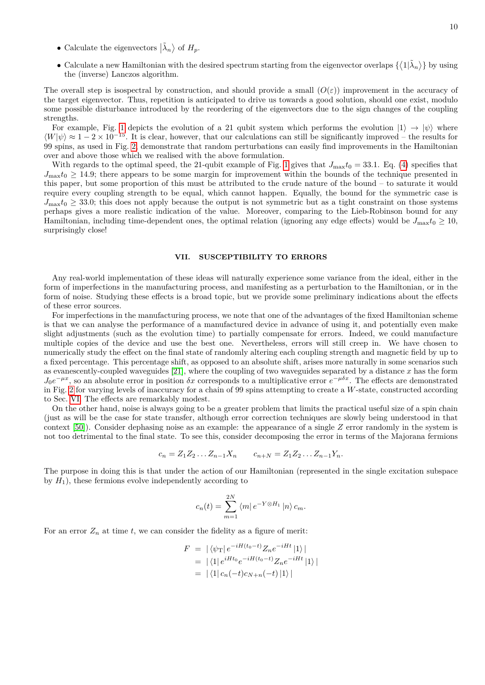- Calculate the eigenvectors  $|\tilde{\lambda}_n\rangle$  of  $H_p$ .
- Calculate a new Hamiltonian with the desired spectrum starting from the eigenvector overlaps  $\{\langle 1|\tilde{\lambda}_n\rangle\}$  by using the (inverse) Lanczos algorithm.

The overall step is isospectral by construction, and should provide a small  $(O(\varepsilon))$  improvement in the accuracy of the target eigenvector. Thus, repetition is anticipated to drive us towards a good solution, should one exist, modulo some possible disturbance introduced by the reordering of the eigenvectors due to the sign changes of the coupling strengths.

For example, Fig. [1](#page-8-0) depicts the evolution of a 21 qubit system which performs the evolution  $|1\rangle \rightarrow |\psi\rangle$  where  $\langle W|\psi\rangle \approx 1-2 \times 10^{-15}$ . It is clear, however, that our calculations can still be significantly improved – the results for 99 spins, as used in Fig. [2,](#page-10-0) demonstrate that random perturbations can easily find improvements in the Hamiltonian over and above those which we realised with the above formulation.

With regards to the optimal speed, the 21-qubit example of Fig. [1](#page-8-0) gives that  $J_{\text{max}}t_0 = 33.1$ . Eq. [\(4\)](#page-5-0) specifies that  $J_{\text{max}}t_0 \geq 14.9$ ; there appears to be some margin for improvement within the bounds of the technique presented in this paper, but some proportion of this must be attributed to the crude nature of the bound – to saturate it would require every coupling strength to be equal, which cannot happen. Equally, the bound for the symmetric case is  $J_{\text{max}}t_0 \geq 33.0$ ; this does not apply because the output is not symmetric but as a tight constraint on those systems perhaps gives a more realistic indication of the value. Moreover, comparing to the Lieb-Robinson bound for any Hamiltonian, including time-dependent ones, the optimal relation (ignoring any edge effects) would be  $J_{\text{max}}t_0 \geq 10$ , surprisingly close!

## <span id="page-9-0"></span>**VII. SUSCEPTIBILITY TO ERRORS**

Any real-world implementation of these ideas will naturally experience some variance from the ideal, either in the form of imperfections in the manufacturing process, and manifesting as a perturbation to the Hamiltonian, or in the form of noise. Studying these effects is a broad topic, but we provide some preliminary indications about the effects of these error sources.

For imperfections in the manufacturing process, we note that one of the advantages of the fixed Hamiltonian scheme is that we can analyse the performance of a manufactured device in advance of using it, and potentially even make slight adjustments (such as the evolution time) to partially compensate for errors. Indeed, we could manufacture multiple copies of the device and use the best one. Nevertheless, errors will still creep in. We have chosen to numerically study the effect on the final state of randomly altering each coupling strength and magnetic field by up to a fixed percentage. This percentage shift, as opposed to an absolute shift, arises more naturally in some scenarios such as evanescently-coupled waveguides [\[21\]](#page-12-1), where the coupling of two waveguides separated by a distance *x* has the form  $J_0e^{-\mu x}$ , so an absolute error in position  $\delta x$  corresponds to a multiplicative error  $e^{-\mu \delta x}$ . The effects are demonstrated in Fig. [2](#page-10-0) for varying levels of inaccuracy for a chain of 99 spins attempting to create a *W*-state, constructed according to Sec. [VI.](#page-7-0) The effects are remarkably modest.

On the other hand, noise is always going to be a greater problem that limits the practical useful size of a spin chain (just as will be the case for state transfer, although error correction techniques are slowly being understood in that context [\[50\]](#page-12-32)). Consider dephasing noise as an example: the appearance of a single *Z* error randomly in the system is not too detrimental to the final state. To see this, consider decomposing the error in terms of the Majorana fermions

$$
c_n = Z_1 Z_2 \dots Z_{n-1} X_n \qquad c_{n+N} = Z_1 Z_2 \dots Z_{n-1} Y_n.
$$

The purpose in doing this is that under the action of our Hamiltonian (represented in the single excitation subspace by  $H_1$ ), these fermions evolve independently according to

$$
c_n(t) = \sum_{m=1}^{2N} \langle m | e^{-Y \otimes H_1} | n \rangle c_m.
$$

For an error  $Z_n$  at time *t*, we can consider the fidelity as a figure of merit:

$$
F = |\langle \psi_{\text{T}}| e^{-iH(t_0 - t)} Z_n e^{-iHt} |1\rangle|
$$
  
=  $|\langle 1| e^{iHt_0} e^{-iH(t_0 - t)} Z_n e^{-iHt} |1\rangle|$   
=  $|\langle 1| c_n(-t) c_{N+n}(-t) |1\rangle|$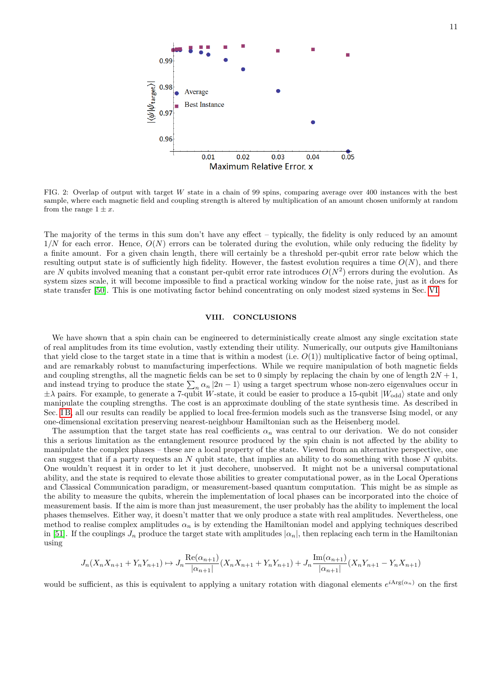

<span id="page-10-0"></span>FIG. 2: Overlap of output with target *W* state in a chain of 99 spins, comparing average over 400 instances with the best sample, where each magnetic field and coupling strength is altered by multiplication of an amount chosen uniformly at random from the range  $1 \pm x$ .

The majority of the terms in this sum don't have any effect – typically, the fidelity is only reduced by an amount  $1/N$  for each error. Hence,  $O(N)$  errors can be tolerated during the evolution, while only reducing the fidelity by a finite amount. For a given chain length, there will certainly be a threshold per-qubit error rate below which the resulting output state is of sufficiently high fidelity. However, the fastest evolution requires a time  $O(N)$ , and there are  $N$  qubits involved meaning that a constant per-qubit error rate introduces  $O(N^2)$  errors during the evolution. As system sizes scale, it will become impossible to find a practical working window for the noise rate, just as it does for state transfer [\[50\]](#page-12-32). This is one motivating factor behind concentrating on only modest sized systems in Sec. [VI.](#page-7-0)

## **VIII. CONCLUSIONS**

We have shown that a spin chain can be engineered to deterministically create almost any single excitation state of real amplitudes from its time evolution, vastly extending their utility. Numerically, our outputs give Hamiltonians that yield close to the target state in a time that is within a modest (i.e.  $O(1)$ ) multiplicative factor of being optimal, and are remarkably robust to manufacturing imperfections. While we require manipulation of both magnetic fields and coupling strengths, all the magnetic fields can be set to 0 simply by replacing the chain by one of length  $2N + 1$ , and instead trying to produce the state  $\sum_{n} \alpha_n |2n-1\rangle$  using a target spectrum whose non-zero eigenvalues occur in  $\pm\lambda$  pairs. For example, to generate a 7-qubit *W*-state, it could be easier to produce a 15-qubit  $|W_{odd}\rangle$  state and only manipulate the coupling strengths. The cost is an approximate doubling of the state synthesis time. As described in Sec. IB, all our results can readily be applied to local free-fermion models such as the transverse Ising model, or any one-dimensional excitation preserving nearest-neighbour Hamiltonian such as the Heisenberg model.

The assumption that the target state has real coefficients  $\alpha_n$  was central to our derivation. We do not consider this a serious limitation as the entanglement resource produced by the spin chain is not affected by the ability to manipulate the complex phases – these are a local property of the state. Viewed from an alternative perspective, one can suggest that if a party requests an *N* qubit state, that implies an ability to do something with those *N* qubits. One wouldn't request it in order to let it just decohere, unobserved. It might not be a universal computational ability, and the state is required to elevate those abilities to greater computational power, as in the Local Operations and Classical Communication paradigm, or measurement-based quantum computation. This might be as simple as the ability to measure the qubits, wherein the implementation of local phases can be incorporated into the choice of measurement basis. If the aim is more than just measurement, the user probably has the ability to implement the local phases themselves. Either way, it doesn't matter that we only produce a state with real amplitudes. Nevertheless, one method to realise complex amplitudes  $\alpha_n$  is by extending the Hamiltonian model and applying techniques described in [\[51\]](#page-12-33). If the couplings  $J_n$  produce the target state with amplitudes  $|\alpha_n|$ , then replacing each term in the Hamiltonian using

$$
J_n(X_nX_{n+1} + Y_nY_{n+1}) \mapsto J_n \frac{\text{Re}(\alpha_{n+1})}{|\alpha_{n+1}|} (X_nX_{n+1} + Y_nY_{n+1}) + J_n \frac{\text{Im}(\alpha_{n+1})}{|\alpha_{n+1}|} (X_nY_{n+1} - Y_nX_{n+1})
$$

would be sufficient, as this is equivalent to applying a unitary rotation with diagonal elements  $e^{iArg(\alpha_n)}$  on the first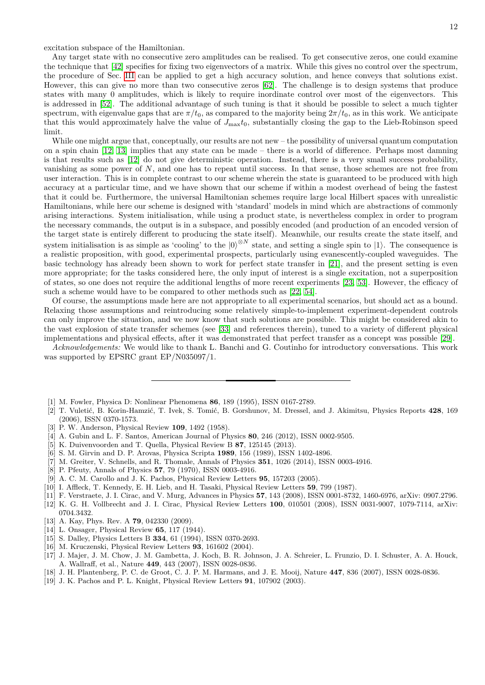excitation subspace of the Hamiltonian.

Any target state with no consecutive zero amplitudes can be realised. To get consecutive zeros, one could examine the technique that [\[42\]](#page-12-19) specifies for fixing two eigenvectors of a matrix. While this gives no control over the spectrum, the procedure of Sec. [III](#page-3-0) can be applied to get a high accuracy solution, and hence conveys that solutions exist. However, this can give no more than two consecutive zeros [\[62\]](#page-12-34). The challenge is to design systems that produce states with many 0 amplitudes, which is likely to require inordinate control over most of the eigenvectors. This is addressed in [\[52\]](#page-12-35). The additional advantage of such tuning is that it should be possible to select a much tighter spectrum, with eigenvalue gaps that are  $\pi/t_0$ , as compared to the majority being  $2\pi/t_0$ , as in this work. We anticipate that this would approximately halve the value of  $J_{\text{max}}t_0$ , substantially closing the gap to the Lieb-Robinson speed limit.

While one might argue that, conceptually, our results are not new – the possibility of universal quantum computation on a spin chain [\[12,](#page-11-10) [13\]](#page-11-11) implies that any state can be made – there is a world of difference. Perhaps most damning is that results such as [\[12\]](#page-11-10) do not give deterministic operation. Instead, there is a very small success probability, vanishing as some power of *N*, and one has to repeat until success. In that sense, those schemes are not free from user interaction. This is in complete contrast to our scheme wherein the state is guaranteed to be produced with high accuracy at a particular time, and we have shown that our scheme if within a modest overhead of being the fastest that it could be. Furthermore, the universal Hamiltonian schemes require large local Hilbert spaces with unrealistic Hamiltonians, while here our scheme is designed with 'standard' models in mind which are abstractions of commonly arising interactions. System initialisation, while using a product state, is nevertheless complex in order to program the necessary commands, the output is in a subspace, and possibly encoded (and production of an encoded version of the target state is entirely different to producing the state itself). Meanwhile, our results create the state itself, and system initialisation is as simple as 'cooling' to the  $|0\rangle^{\otimes N}$  state, and setting a single spin to  $|1\rangle$ . The consequence is a realistic proposition, with good, experimental prospects, particularly using evanescently-coupled waveguides. The basic technology has already been shown to work for perfect state transfer in [\[21\]](#page-12-1), and the present setting is even more appropriate; for the tasks considered here, the only input of interest is a single excitation, not a superposition of states, so one does not require the additional lengths of more recent experiments [\[23,](#page-12-2) [53\]](#page-12-36). However, the efficacy of such a scheme would have to be compared to other methods such as [\[22,](#page-12-37) [54\]](#page-12-38).

Of course, the assumptions made here are not appropriate to all experimental scenarios, but should act as a bound. Relaxing those assumptions and reintroducing some relatively simple-to-implement experiment-dependent controls can only improve the situation, and we now know that such solutions are possible. This might be considered akin to the vast explosion of state transfer schemes (see [\[33\]](#page-12-8) and references therein), tuned to a variety of different physical implementations and physical effects, after it was demonstrated that perfect transfer as a concept was possible [\[29\]](#page-12-27).

*Acknowledgements:* We would like to thank L. Banchi and G. Coutinho for introductory conversations. This work was supported by EPSRC grant EP/N035097/1.

- <span id="page-11-0"></span>[1] M. Fowler, Physica D: Nonlinear Phenomena **86**, 189 (1995), ISSN 0167-2789.
- <span id="page-11-1"></span>[2] T. Vuletić, B. Korin-Hamzić, T. Ivek, S. Tomić, B. Gorshunov, M. Dressel, and J. Akimitsu, Physics Reports 428, 169 (2006), ISSN 0370-1573.
- <span id="page-11-2"></span>[3] P. W. Anderson, Physical Review **109**, 1492 (1958).
- <span id="page-11-3"></span>[4] A. Gubin and L. F. Santos, American Journal of Physics **80**, 246 (2012), ISSN 0002-9505.
- <span id="page-11-4"></span>[5] K. Duivenvoorden and T. Quella, Physical Review B **87**, 125145 (2013).
- [6] S. M. Girvin and D. P. Arovas, Physica Scripta **1989**, 156 (1989), ISSN 1402-4896.
- <span id="page-11-5"></span>[7] M. Greiter, V. Schnells, and R. Thomale, Annals of Physics **351**, 1026 (2014), ISSN 0003-4916.
- <span id="page-11-6"></span>[8] P. Pfeuty, Annals of Physics **57**, 79 (1970), ISSN 0003-4916.
- <span id="page-11-7"></span>[9] A. C. M. Carollo and J. K. Pachos, Physical Review Letters **95**, 157203 (2005).
- <span id="page-11-8"></span>[10] I. Affleck, T. Kennedy, E. H. Lieb, and H. Tasaki, Physical Review Letters **59**, 799 (1987).
- <span id="page-11-9"></span>[11] F. Verstraete, J. I. Cirac, and V. Murg, Advances in Physics **57**, 143 (2008), ISSN 0001-8732, 1460-6976, arXiv: 0907.2796.
- <span id="page-11-10"></span>[12] K. G. H. Vollbrecht and J. I. Cirac, Physical Review Letters **100**, 010501 (2008), ISSN 0031-9007, 1079-7114, arXiv: 0704.3432.
- <span id="page-11-11"></span>[13] A. Kay, Phys. Rev. A **79**, 042330 (2009).
- <span id="page-11-12"></span>[14] L. Onsager, Physical Review **65**, 117 (1944).
- <span id="page-11-13"></span>[15] S. Dalley, Physics Letters B **334**, 61 (1994), ISSN 0370-2693.
- <span id="page-11-14"></span>[16] M. Kruczenski, Physical Review Letters **93**, 161602 (2004).
- <span id="page-11-15"></span>[17] J. Majer, J. M. Chow, J. M. Gambetta, J. Koch, B. R. Johnson, J. A. Schreier, L. Frunzio, D. I. Schuster, A. A. Houck, A. Wallraff, et al., Nature **449**, 443 (2007), ISSN 0028-0836.
- <span id="page-11-16"></span>[18] J. H. Plantenberg, P. C. de Groot, C. J. P. M. Harmans, and J. E. Mooij, Nature **447**, 836 (2007), ISSN 0028-0836.
- <span id="page-11-17"></span>[19] J. K. Pachos and P. L. Knight, Physical Review Letters **91**, 107902 (2003).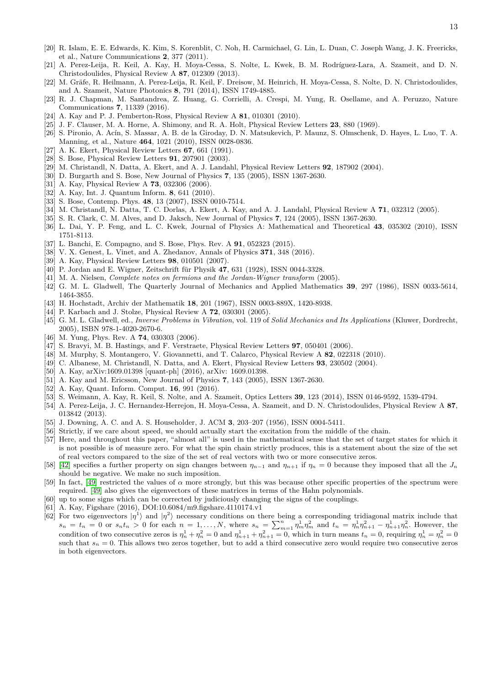- <span id="page-12-0"></span>[20] R. Islam, E. E. Edwards, K. Kim, S. Korenblit, C. Noh, H. Carmichael, G. Lin, L. Duan, C. Joseph Wang, J. K. Freericks, et al., Nature Communications **2**, 377 (2011).
- <span id="page-12-1"></span>[21] A. Perez-Leija, R. Keil, A. Kay, H. Moya-Cessa, S. Nolte, L. Kwek, B. M. Rodríguez-Lara, A. Szameit, and D. N. Christodoulides, Physical Review A **87**, 012309 (2013).
- <span id="page-12-37"></span>[22] M. Gräfe, R. Heilmann, A. Perez-Leija, R. Keil, F. Dreisow, M. Heinrich, H. Moya-Cessa, S. Nolte, D. N. Christodoulides, and A. Szameit, Nature Photonics **8**, 791 (2014), ISSN 1749-4885.
- <span id="page-12-2"></span>[23] R. J. Chapman, M. Santandrea, Z. Huang, G. Corrielli, A. Crespi, M. Yung, R. Osellame, and A. Peruzzo, Nature Communications **7**, 11339 (2016).
- <span id="page-12-3"></span>[24] A. Kay and P. J. Pemberton-Ross, Physical Review A **81**, 010301 (2010).
- <span id="page-12-4"></span>[25] J. F. Clauser, M. A. Horne, A. Shimony, and R. A. Holt, Physical Review Letters **23**, 880 (1969).
- <span id="page-12-5"></span>[26] S. Pironio, A. Acín, S. Massar, A. B. de la Giroday, D. N. Matsukevich, P. Maunz, S. Olmschenk, D. Hayes, L. Luo, T. A. Manning, et al., Nature **464**, 1021 (2010), ISSN 0028-0836.
- <span id="page-12-6"></span>[27] A. K. Ekert, Physical Review Letters **67**, 661 (1991).
- <span id="page-12-7"></span>[28] S. Bose, Physical Review Letters **91**, 207901 (2003).
- <span id="page-12-27"></span>[29] M. Christandl, N. Datta, A. Ekert, and A. J. Landahl, Physical Review Letters **92**, 187902 (2004).
- [30] D. Burgarth and S. Bose, New Journal of Physics **7**, 135 (2005), ISSN 1367-2630.
- [31] A. Kay, Physical Review A **73**, 032306 (2006).
- <span id="page-12-11"></span>[32] A. Kay, Int. J. Quantum Inform. **8**, 641 (2010).
- <span id="page-12-8"></span>[33] S. Bose, Contemp. Phys. **48**, 13 (2007), ISSN 0010-7514.
- <span id="page-12-9"></span>[34] M. Christandl, N. Datta, T. C. Dorlas, A. Ekert, A. Kay, and A. J. Landahl, Physical Review A **71**, 032312 (2005).
- <span id="page-12-10"></span>[35] S. R. Clark, C. M. Alves, and D. Jaksch, New Journal of Physics **7**, 124 (2005), ISSN 1367-2630.
- <span id="page-12-12"></span>[36] L. Dai, Y. P. Feng, and L. C. Kwek, Journal of Physics A: Mathematical and Theoretical **43**, 035302 (2010), ISSN 1751-8113.
- [37] L. Banchi, E. Compagno, and S. Bose, Phys. Rev. A **91**, 052323 (2015).
- <span id="page-12-13"></span>[38] V. X. Genest, L. Vinet, and A. Zhedanov, Annals of Physics **371**, 348 (2016).
- <span id="page-12-14"></span>[39] A. Kay, Physical Review Letters **98**, 010501 (2007).
- <span id="page-12-16"></span>[40] P. Jordan and E. Wigner, Zeitschrift für Physik 47, 631 (1928), ISSN 0044-3328.
- <span id="page-12-17"></span>[41] M. A. Nielsen, *Complete notes on fermions and the Jordan-Wigner transform* (2005).
- <span id="page-12-19"></span>[42] G. M. L. Gladwell, The Quarterly Journal of Mechanics and Applied Mathematics **39**, 297 (1986), ISSN 0033-5614, 1464-3855.
- <span id="page-12-21"></span>[43] H. Hochstadt, Archiv der Mathematik **18**, 201 (1967), ISSN 0003-889X, 1420-8938.
- <span id="page-12-22"></span>[44] P. Karbach and J. Stolze, Physical Review A **72**, 030301 (2005).
- <span id="page-12-23"></span>[45] G. M. L. Gladwell, ed., *Inverse Problems in Vibration*, vol. 119 of *Solid Mechanics and Its Applications* (Kluwer, Dordrecht, 2005), ISBN 978-1-4020-2670-6.
- <span id="page-12-24"></span>[46] M. Yung, Phys. Rev. A **74**, 030303 (2006).
- <span id="page-12-25"></span>[47] S. Bravyi, M. B. Hastings, and F. Verstraete, Physical Review Letters **97**, 050401 (2006).
- <span id="page-12-26"></span>[48] M. Murphy, S. Montangero, V. Giovannetti, and T. Calarco, Physical Review A **82**, 022318 (2010).
- <span id="page-12-28"></span>[49] C. Albanese, M. Christandl, N. Datta, and A. Ekert, Physical Review Letters **93**, 230502 (2004).
- <span id="page-12-32"></span>[50] A. Kay, arXiv:1609.01398 [quant-ph] (2016), arXiv: 1609.01398.
- <span id="page-12-33"></span>[51] A. Kay and M. Ericsson, New Journal of Physics **7**, 143 (2005), ISSN 1367-2630.
- <span id="page-12-35"></span>[52] A. Kay, Quant. Inform. Comput. **16**, 991 (2016).
- <span id="page-12-36"></span>[53] S. Weimann, A. Kay, R. Keil, S. Nolte, and A. Szameit, Optics Letters **39**, 123 (2014), ISSN 0146-9592, 1539-4794.
- <span id="page-12-38"></span>[54] A. Perez-Leija, J. C. Hernandez-Herrejon, H. Moya-Cessa, A. Szameit, and D. N. Christodoulides, Physical Review A **87**, 013842 (2013).
- <span id="page-12-39"></span>[55] J. Downing, A. C. and A. S. Householder, J. ACM **3**, 203–207 (1956), ISSN 0004-5411.
- <span id="page-12-15"></span>[56] Strictly, if we care about speed, we should actually start the excitation from the middle of the chain.
- <span id="page-12-18"></span>[57] Here, and throughout this paper, "almost all" is used in the mathematical sense that the set of target states for which it is not possible is of measure zero. For what the spin chain strictly produces, this is a statement about the size of the set of real vectors compared to the size of the set of real vectors with two or more consecutive zeros.
- <span id="page-12-20"></span>[58] [\[42\]](#page-12-19) specifies a further property on sign changes between  $\eta_{n-1}$  and  $\eta_{n+1}$  if  $\eta_n = 0$  because they imposed that all the  $J_n$ should be negative. We make no such imposition.
- <span id="page-12-29"></span>[59] In fact, [\[49\]](#page-12-28) restricted the values of *α* more strongly, but this was because other specific properties of the spectrum were required. [\[49\]](#page-12-28) also gives the eigenvectors of these matrices in terms of the Hahn polynomials.
- <span id="page-12-30"></span>[60] up to some signs which can be corrected by judiciously changing the signs of the couplings.
- <span id="page-12-31"></span>[61] A. Kay, Figshare (2016), DOI:10.6084/m9.figshare.4110174.v1
- <span id="page-12-34"></span>[62] For two eigenvectors  $|\eta^1\rangle$  and  $|\eta^2\rangle$  necessary conditions on there being a corresponding tridiagonal matrix include that  $s_n = t_n = 0$  or  $s_n t_n > 0$  for each  $n = 1, ..., N$ , where  $s_n = \sum_{m=1}^n \eta_m^1 \eta_m^2$  and  $t_n = \eta_n^1 \eta_{n+1}^2 - \eta_{n+1}^1 \eta_n^2$ . However, the condition of two consecutive zeros is  $\eta_n^1 + \eta_n^2 = 0$  and  $\eta_{n+1}^1 + \eta_{n+1}^2 = 0$ , which in turn means  $t_n = 0$ , requiring  $\eta_n^1 = \eta_n^2 = 0$ such that  $s_n = 0$ . This allows two zeros together, but to add a third consecutive zero would require two consecutive zeros in both eigenvectors.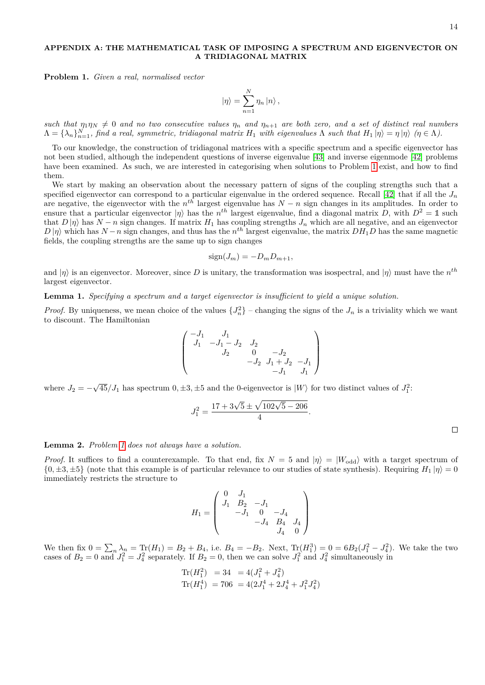## <span id="page-13-0"></span>**APPENDIX A: THE MATHEMATICAL TASK OF IMPOSING A SPECTRUM AND EIGENVECTOR ON A TRIDIAGONAL MATRIX**

<span id="page-13-1"></span>**Problem 1.** *Given a real, normalised vector*

$$
|\eta\rangle = \sum_{n=1}^{N} \eta_n |n\rangle ,
$$

*such that*  $\eta_1 \eta_N \neq 0$  *and no two consecutive values*  $\eta_n$  *and*  $\eta_{n+1}$  *are both zero, and a set of distinct real numbers*  $\Lambda = {\lambda_n}_{n=1}^N$ , find a real, symmetric, tridiagonal matrix  $H_1$  with eigenvalues  $\Lambda$  such that  $H_1 | \eta \rangle = \eta | \eta \rangle$  ( $\eta \in \Lambda$ ).

To our knowledge, the construction of tridiagonal matrices with a specific spectrum and a specific eigenvector has not been studied, although the independent questions of inverse eigenvalue [\[43\]](#page-12-21) and inverse eigenmode [\[42\]](#page-12-19) problems have been examined. As such, we are interested in categorising when solutions to Problem [1](#page-13-1) exist, and how to find them.

We start by making an observation about the necessary pattern of signs of the coupling strengths such that a specified eigenvector can correspond to a particular eigenvalue in the ordered sequence. Recall  $[42]$  that if all the  $J_n$ are negative, the eigenvector with the  $n^{th}$  largest eigenvalue has  $N - n$  sign changes in its amplitudes. In order to ensure that a particular eigenvector  $|\eta\rangle$  has the  $n^{th}$  largest eigenvalue, find a diagonal matrix *D*, with  $D^2 = \mathbb{1}$  such that  $D|\eta\rangle$  has  $N - n$  sign changes. If matrix  $H_1$  has coupling strengths  $J_n$  which are all negative, and an eigenvector  $D|\eta\rangle$  which has  $N-n$  sign changes, and thus has the  $n^{th}$  largest eigenvalue, the matrix  $DH_1D$  has the same magnetic fields, the coupling strengths are the same up to sign changes

$$
sign(J_m) = -D_m D_{m+1},
$$

and  $|\eta\rangle$  is an eigenvector. Moreover, since D is unitary, the transformation was isospectral, and  $|\eta\rangle$  must have the  $n^{th}$ largest eigenvector.

**Lemma 1.** *Specifying a spectrum and a target eigenvector is insufficient to yield a unique solution.*

*Proof.* By uniqueness, we mean choice of the values  ${J_n^2}$  – changing the signs of the  $J_n$  is a triviality which we want to discount. The Hamiltonian

$$
\begin{pmatrix}\n-J_1 & J_1 & & & \\
J_1 & -J_1 - J_2 & J_2 & & \\
& J_2 & 0 & -J_2 & \\
& & -J_2 & J_1 + J_2 & -J_1 \\
& & & -J_1 & J_1\n\end{pmatrix}
$$

where  $J_2 = -$ √  $45/J_1$  has spectrum  $0, \pm 3, \pm 5$  and the 0-eigenvector is  $|W\rangle$  for two distinct values of  $J_1^2$ :

$$
J_1^2 = \frac{17 + 3\sqrt{5} \pm \sqrt{102\sqrt{5} - 206}}{4}.
$$

**Lemma 2.** *Problem [1](#page-13-1) does not always have a solution.*

*Proof.* It suffices to find a counterexample. To that end, fix  $N = 5$  and  $|\eta\rangle = |W_{odd}\rangle$  with a target spectrum of  $\{0, \pm 3, \pm 5\}$  (note that this example is of particular relevance to our studies of state synthesis). Requiring  $H_1|\eta\rangle = 0$ immediately restricts the structure to

$$
H_1 = \begin{pmatrix} 0 & J_1 \\ J_1 & B_2 & -J_1 \\ & -J_1 & 0 & -J_4 \\ & & -J_4 & B_4 & J_4 \\ & & & J_4 & 0 \end{pmatrix}
$$

We then fix  $0 = \sum_n \lambda_n = \text{Tr}(H_1) = B_2 + B_4$ , i.e.  $B_4 = -B_2$ . Next,  $\text{Tr}(H_1^3) = 0 = 6B_2(J_1^2 - J_4^2)$ . We take the two cases of  $B_2 = 0$  and  $J_1^2 = J_4^2$  separately. If  $B_2 = 0$ , then we can solve  $J_1^2$  and  $J_4^2$  simultaneously in

$$
\text{Tr}(H_1^2) = 34 = 4(J_1^2 + J_4^2)
$$
  
\n
$$
\text{Tr}(H_1^4) = 706 = 4(2J_1^4 + 2J_4^4 + J_1^2J_4^2)
$$

 $\Box$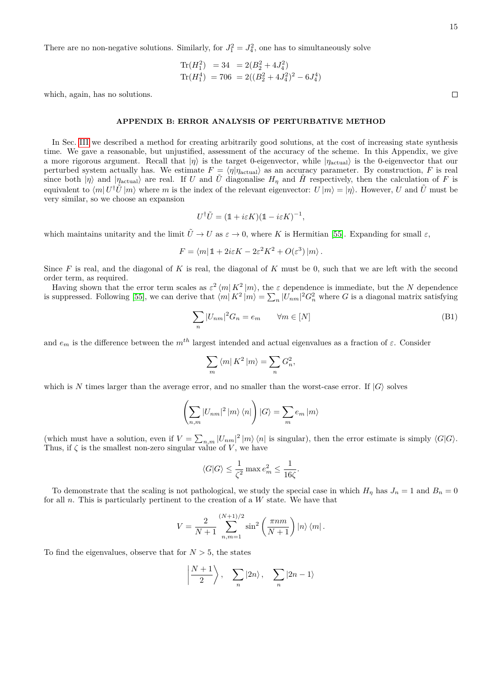There are no non-negative solutions. Similarly, for  $J_1^2 = J_4^2$ , one has to simultaneously solve

$$
\begin{aligned} \text{Tr}(H_1^2) &= 34 &= 2(B_2^2 + 4J_4^2) \\ \text{Tr}(H_1^4) &= 706 &= 2((B_2^2 + 4J_4^2)^2 - 6J_4^4) \end{aligned}
$$

which, again, has no solutions.

### <span id="page-14-0"></span>**APPENDIX B: ERROR ANALYSIS OF PERTURBATIVE METHOD**

In Sec. [III](#page-3-0) we described a method for creating arbitrarily good solutions, at the cost of increasing state synthesis time. We gave a reasonable, but unjustified, assessment of the accuracy of the scheme. In this Appendix, we give a more rigorous argument. Recall that  $|\eta\rangle$  is the target 0-eigenvector, while  $|\eta_{\text{actual}}\rangle$  is the 0-eigenvector that our perturbed system actually has. We estimate  $F = \langle \eta | \eta_{\text{actual}} \rangle$  as an accuracy parameter. By construction, *F* is real since both  $|\eta\rangle$  and  $|\eta_{\text{actual}}\rangle$  are real. If *U* and *U* diagonalise  $H_{\eta}$  and *H* respectively, then the calculation of *F* is equivalent to  $\langle m| U^{\dagger} \tilde{U} |m \rangle$  where *m* is the index of the relevant eigenvector:  $U |m \rangle = | \eta \rangle$ . However, *U* and  $\tilde{U}$  must be very similar, so we choose an expansion

$$
U^{\dagger} \tilde{U} = (\mathbb{1} + i\varepsilon K)(\mathbb{1} - i\varepsilon K)^{-1},
$$

which maintains unitarity and the limit  $\tilde{U} \to U$  as  $\varepsilon \to 0$ , where *K* is Hermitian [\[55\]](#page-12-39). Expanding for small  $\varepsilon$ ,

$$
F = \langle m | 1 + 2i\varepsilon K - 2\varepsilon^2 K^2 + O(\varepsilon^3) | m \rangle.
$$

Since *F* is real, and the diagonal of *K* is real, the diagonal of *K* must be 0, such that we are left with the second order term, as required.

Having shown that the error term scales as  $\varepsilon^2 \langle m | K^2 | m \rangle$ , the  $\varepsilon$  dependence is immediate, but the *N* dependence is suppressed. Following [\[55\]](#page-12-39), we can derive that  $\langle m|K^2|m\rangle = \sum_n |U_{nm}|^2 G_n^2$  where *G* is a diagonal matrix satisfying

$$
\sum_{n} |U_{nm}|^2 G_n = e_m \qquad \forall m \in [N]
$$
\n(B1)

and  $e_m$  is the difference between the  $m^{th}$  largest intended and actual eigenvalues as a fraction of  $\varepsilon$ . Consider

$$
\sum_m \left\langle m \right| K^2 \left| m \right\rangle = \sum_n G_n^2,
$$

which is *N* times larger than the average error, and no smaller than the worst-case error. If  $|G\rangle$  solves

$$
\left(\sum_{n,m}|U_{nm}|^2|m\rangle\langle n|\right)|G\rangle = \sum_{m}e_m|m\rangle
$$

(which must have a solution, even if  $V = \sum_{n,m} |U_{nm}|^2 |m\rangle \langle n|$  is singular), then the error estimate is simply  $\langle G|G \rangle$ . Thus, if  $\zeta$  is the smallest non-zero singular value of *V*, we have

$$
\langle G|G\rangle \le \frac{1}{\zeta^2} \max e_m^2 \le \frac{1}{16\zeta}.
$$

To demonstrate that the scaling is not pathological, we study the special case in which  $H_{\eta}$  has  $J_n = 1$  and  $B_n = 0$ for all *n*. This is particularly pertinent to the creation of a *W* state. We have that

$$
V = \frac{2}{N+1} \sum_{n,m=1}^{(N+1)/2} \sin^2\left(\frac{\pi nm}{N+1}\right) \left|n\right\rangle \left\langle m\right|.
$$

To find the eigenvalues, observe that for  $N > 5$ , the states

$$
\left|\frac{N+1}{2}\right\rangle, \quad \sum_{n}|2n\rangle, \quad \sum_{n}|2n-1\rangle
$$

 $\Box$